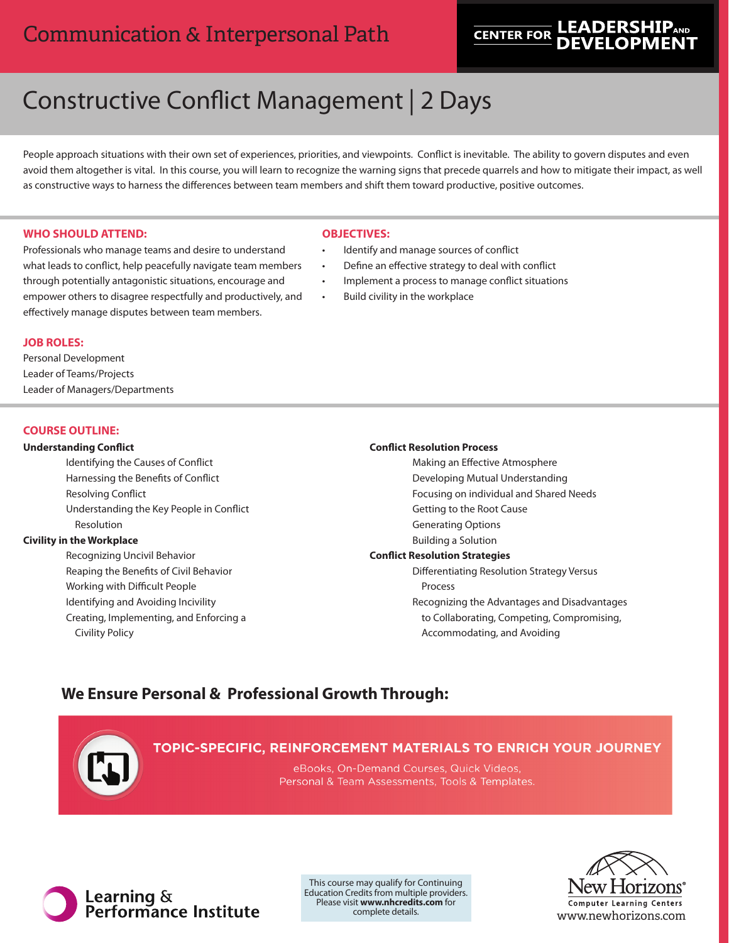# Communication & Interpersonal Path

# **LEADERSHIP CENTER FOR**

# Constructive Conflict Management | 2 Days

People approach situations with their own set of experiences, priorities, and viewpoints. Conflict is inevitable. The ability to govern disputes and even avoid them altogether is vital. In this course, you will learn to recognize the warning signs that precede quarrels and how to mitigate their impact, as well as constructive ways to harness the differences between team members and shift them toward productive, positive outcomes.

## **WHO SHOULD ATTEND:**

Professionals who manage teams and desire to understand what leads to conflict, help peacefully navigate team members through potentially antagonistic situations, encourage and empower others to disagree respectfully and productively, and effectively manage disputes between team members.

# **OBJECTIVES:**

- Identify and manage sources of conflict
- Define an effective strategy to deal with conflict
- Implement a process to manage conflict situations
- Build civility in the workplace

#### **JOB ROLES:**

Personal Development Leader of Teams/Projects Leader of Managers/Departments

#### **COURSE OUTLINE:**

#### **Understanding Conflict**

Identifying the Causes of Conflict Harnessing the Benefits of Conflict Resolving Conflict Understanding the Key People in Conflict Resolution

#### **Civility in the Workplace**

Recognizing Uncivil Behavior Reaping the Benefits of Civil Behavior Working with Difficult People Identifying and Avoiding Incivility Creating, Implementing, and Enforcing a Civility Policy

#### **Conflict Resolution Process**

Making an Effective Atmosphere Developing Mutual Understanding Focusing on individual and Shared Needs Getting to the Root Cause Generating Options Building a Solution **Conflict Resolution Strategies** Differentiating Resolution Strategy Versus Process Recognizing the Advantages and Disadvantages to Collaborating, Competing, Compromising, Accommodating, and Avoiding

# **We Ensure Personal & Professional Growth Through:**



eBooks, On-Demand Courses, Quick Videos, Personal & Team Assessments, Tools & Templates



This course may qualify for Continuing Education Credits from multiple providers. Please visit **www.nhcredits.com** for